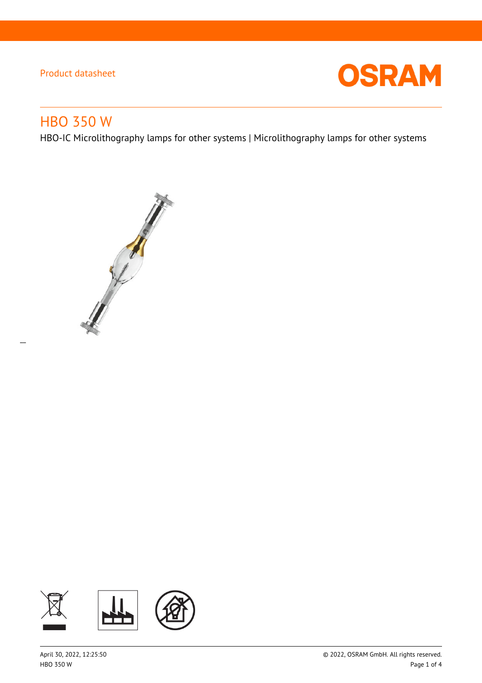

# HBO 350 W

 $\overline{a}$ 

HBO-IC Microlithography lamps for other systems | Microlithography lamps for other systems



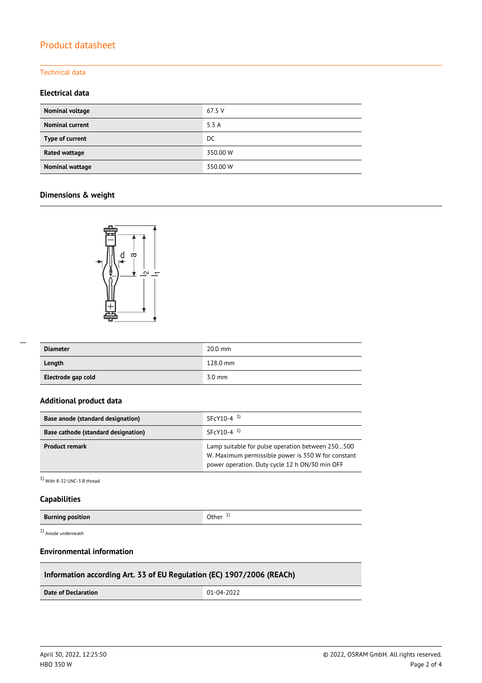#### Technical data

#### **Electrical data**

| Nominal voltage        | 67.5 V   |
|------------------------|----------|
| <b>Nominal current</b> | 5.3A     |
| Type of current        | DC       |
| Rated wattage          | 350.00 W |
| Nominal wattage        | 350.00 W |

#### **Dimensions & weight**



| <b>Diameter</b>    | $20.0$ mm        |
|--------------------|------------------|
| Length             | 128.0 mm         |
| Electrode gap cold | $3.0 \text{ mm}$ |

#### **Additional product data**

| Base anode (standard designation)          | $SFCY10-4$ <sup>1)</sup>                                                                                                                                 |  |  |
|--------------------------------------------|----------------------------------------------------------------------------------------------------------------------------------------------------------|--|--|
| <b>Base cathode (standard designation)</b> | $SFCY10-4$ <sup>1)</sup>                                                                                                                                 |  |  |
| <b>Product remark</b>                      | Lamp suitable for pulse operation between 250500<br>W. Maximum permissible power is 350 W for constant<br>power operation. Duty cycle 12 h ON/30 min OFF |  |  |

1) With 8-32 UNC-3 B thread

#### **Capabilities**

 $\overline{a}$ 

| Other $1$<br><b>Burning position</b> |  |
|--------------------------------------|--|
|--------------------------------------|--|

1) Anode underneath

#### **Environmental information**

### **Information according Art. 33 of EU Regulation (EC) 1907/2006 (REACh)**

**Date of Declaration**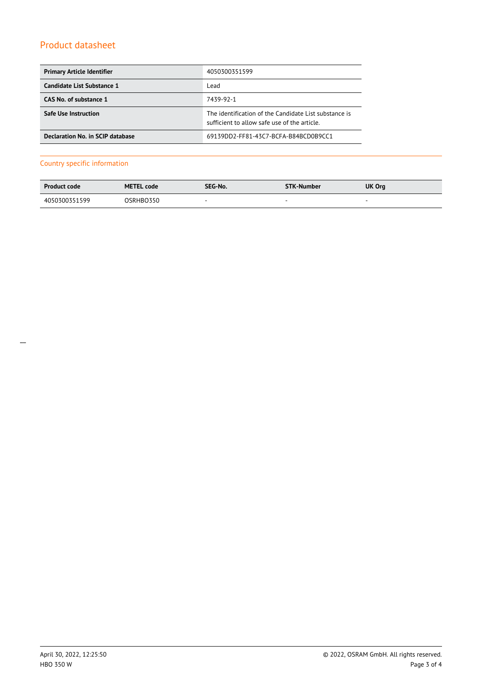| <b>Primary Article Identifier</b> | 4050300351599                                                                                         |
|-----------------------------------|-------------------------------------------------------------------------------------------------------|
| Candidate List Substance 1        | Lead                                                                                                  |
| CAS No. of substance 1            | 7439-92-1                                                                                             |
| Safe Use Instruction              | The identification of the Candidate List substance is<br>sufficient to allow safe use of the article. |
| Declaration No. in SCIP database  | 69139DD2-FF81-43C7-BCFA-B84BCD0B9CC1                                                                  |

#### Country specific information

| <b>Product code</b> | <b>METEL code</b> | SEG-No. | <b>STK-Number</b> | UK Org                   |
|---------------------|-------------------|---------|-------------------|--------------------------|
| 4050300351599       | OSRHBO350         | $\sim$  | $\sim$            | $\overline{\phantom{a}}$ |